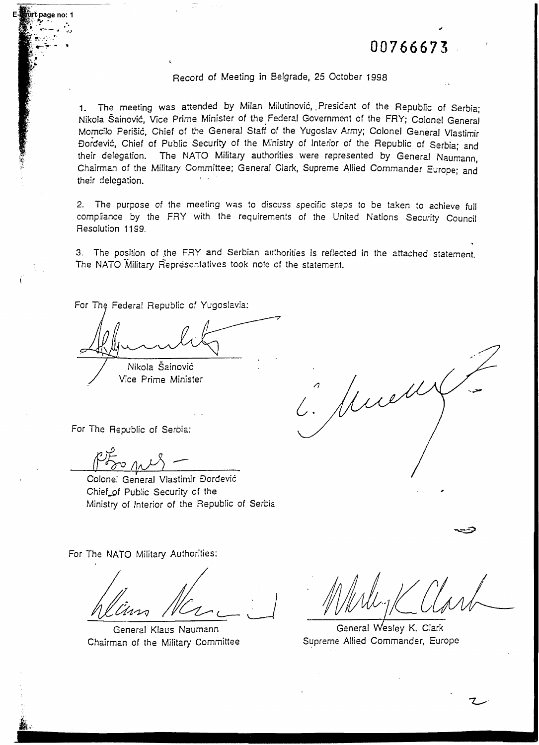# **00766673**

#### Record of Meeting in Belgrade, 25 October 1998

1. The meeting was attended by Milan Milutinović, President of the Republic of Serbia: Nikola Šainović, Vice Prime Minister of the Federal Government of the FRY; Colonel General Momcilo Perisic, Chief of the General Staff of the Yugoslav Army; Colonel General Vlastimir Dordević, Chief of Public Security of the Ministry of Interior of the Republic of Serbia; and their delegation. The NATO Military authorities were represented by General Naumann. Chairman of the Military Committee; General Clark, Supreme Allied Commander Europe; and their delegation.

2. The purpose of the meeting was *to* discuss specific steps *to* be taken to achieve full compliance by the FRY with the requirements of the United Nations Security Council Resolution 1199.

3. The position of the FRY and Serbian authorities is reflected in the attached statement. The NATO Military Representatives took note of the statement.

For The Federal Republic of Yugoslavia:

Nikola Sainovic Vice Prime Minister

 $\sqrt{2}$ *i. I* ,

For The Republic of Serbia:

page no: 1 *:· ,"'f* .. , ·-=--**4** *-1)* 

Colonel General Vlastimir Đorđević Chief\_of Public Security of the Ministry of Interior of the Republic of Serbia

For The NATO Military Authorities:

General Klaus Naumann Chairman of the Military Committee

 $z$ .

General Wesley K. Clark Supreme Allied Commander, Europe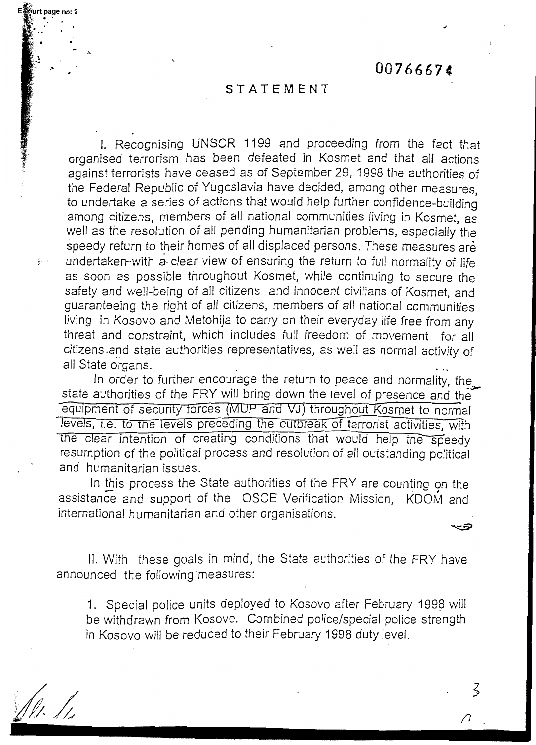**00766674** 

### **STATEMENT**

I. Recognising UNSCR 1199 and proceeding from the fact that organised terrorism has been defeated in Kosmet and that all actions against terrorists have ceased as of September 29, 1998 the authorities of the Federal Republic of Yugoslavia have decided, among other measures, to undertake a series of actions that would help further confidence-building among citizens, members of all national communities living in Kosmet, as well as the resolution of all pending humanitarian problems, especially the speedy return to their homes of all displaced persons. These measures are undertaken-with a clear view of ensuring the return to full normality of life as soon as possible throughout Kosmet, while continuing to secure the safety and well-being of all citizens<sup>-</sup> and innocent civilians of Kosmet, and guaranteeing the right of all citizens, members of all national communities living in Kosovo and Metohija to carry on their everyday life free from any threat and constraint, which includes full freedom of movement for all citizens and state authorities representatives, as well as normal activity of all State organs. .

In order to further encourage the return to peace and normality, the state authorities of the FRY will bring down the level of presence and the equipment of security rorces (MOP and VJ) throughout Kosrnet to normal levels, 1.e. to the levels preceding the outoreak of terrorist activities, with the clear intention of creating conditions that would help the speedy resumption of the political process and resolution of all outstanding political and humanitarian issues.

In this process the State authorities of the FRY are counting on the assistance and support of the OSCE Verification Mission, KDOM and international humanitarian and other organisations.

II. With these goals in mind, the State authorities of the FRY have announced the following measures:

1. Special police units deployed to Kosovo after February 1998 will be withdrawn from Kosovo. Combined police/special police strength in Kosovo will be reduced to their February 1998 duty level.

r-·

E curt page no: 2

 $\wedge$  .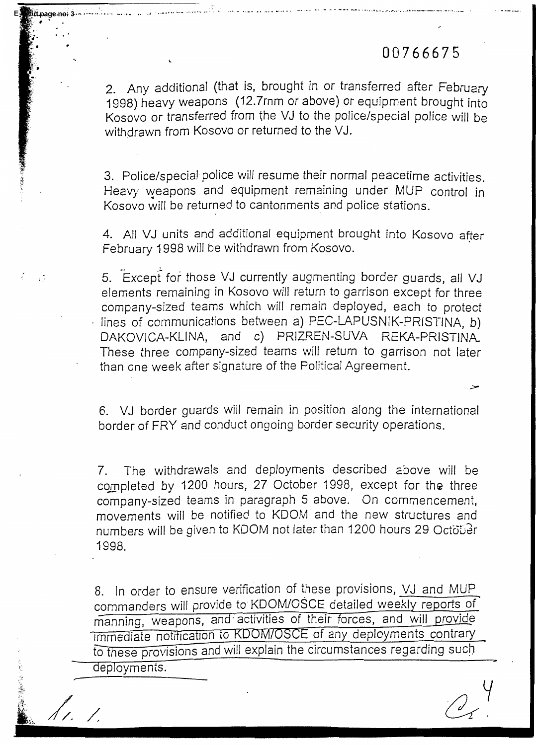# **00766675**

2. Any additional (that is, brought in or transferred after February 1998) heavy weapons (12.7mm or above) or equipment brought into Kosovo or transferred from the VJ to the police/special police will be withdrawn from Kosovo or returned to the VJ.

; ... · **!a?e.n~; 3···** ···· . .': · ··· -· · - ... ··' ....... , ....... -.... • .... ··-· ......................... ·- •• -·· --., ......... .., • .i-•• • ... • ....... \_\_ • \_\_\_\_\_ . \_\_\_ , \_\_\_\_ •

3. Police/special police will resume their normal peacetime activities. Heavy weapons and equipment remaining under MUP control in Kosovo will be returned to cantonments and police stations.

4. All VJ units and additional equipment brought into Kosovo after February 1998 will be withdrawn from Kosovo.

5. Except for those VJ currently augmenting border guards, all VJ elements remaining in Kosovo will return to garrison except for three company-sized teams which will remain deployed, each to protect lines of communications between a) PEC-LAPUSNIK-PRISTINA, b) DAKOVICA-KLINA, and c) PRIZREN-SUVA REKA-PRISTINA These three company-sized teams will return to garrison not later than one week after signature of the Political Agreement.

6. VJ border guards will remain in position along the international border of FRY and conduct ongoing border security operations.

7. The withdrawals and deployments described above will be completed by 1200 hours, 27 October 1998, except for the three company-sized teams in paragraph 5 above. On commencement, movements will be notified to KDOM and the new structures and numbers will be given to KDOM not later than 1200 hours 29 October 1998.

8. In order to ensure verification of these provisions, VJ and MUP commanders will provide to KDOM/OSCE detailed weekly reports of manning, weapons, and activities of their forces, and will provide immediate notification to KDOM/OSCE of any deployments contrary to these provisions and will explain the circumstances regarding such. deployments.

/

 $\mathcal{L}$ 

 $\left( \begin{array}{cc} 0 & 0 \\ 0 & 0 \end{array} \right)$ 

...